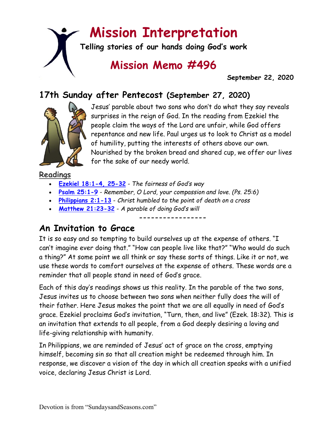# **Mission Interpretation**

**Telling stories of our hands doing God's work**

# **Mission Memo #496**

 **September 22, 2020**

### **17th Sunday after Pentecost (September 27, 2020)**



Jesus' parable about two sons who don't do what they say reveals surprises in the reign of God. In the reading from Ezekiel the people claim the ways of the Lord are unfair, while God offers repentance and new life. Paul urges us to look to Christ as a model of humility, putting the interests of others above our own. Nourished by the broken bread and shared cup, we offer our lives for the sake of our needy world.

#### **Readings**

- **[Ezekiel 18:1-4, 25-32](https://members.sundaysandseasons.com/)** *The fairness of God's way*
- **[Psalm 25:1-9](https://members.sundaysandseasons.com/)** *Remember, O Lord, your compassion and love. (Ps. 25:6)*
- **[Philippians 2:1-13](https://members.sundaysandseasons.com/)** *Christ humbled to the point of death on a cross*
- **[Matthew 21:23-32](https://members.sundaysandseasons.com/)** *A parable of doing God's will*

**An Invitation to Grace**

It is so easy and so tempting to build ourselves up at the expense of others. "I can't imagine ever doing that." "How can people live like that?" "Who would do such a thing?" At some point we all think or say these sorts of things. Like it or not, we use these words to comfort ourselves at the expense of others. These words are a reminder that all people stand in need of God's grace.

**-----------------**

Each of this day's readings shows us this reality. In the parable of the two sons, Jesus invites us to choose between two sons when neither fully does the will of their father. Here Jesus makes the point that we are all equally in need of God's grace. Ezekiel proclaims God's invitation, "Turn, then, and live" (Ezek. 18:32). This is an invitation that extends to all people, from a God deeply desiring a loving and life-giving relationship with humanity.

In Philippians, we are reminded of Jesus' act of grace on the cross, emptying himself, becoming sin so that all creation might be redeemed through him. In response, we discover a vision of the day in which all creation speaks with a unified voice, declaring Jesus Christ is Lord.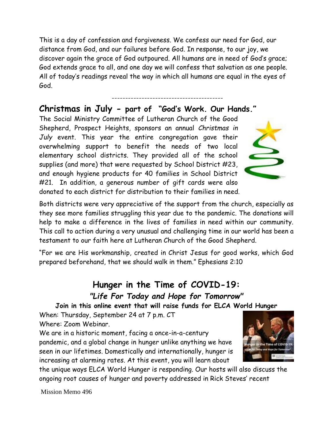This is a day of confession and forgiveness. We confess our need for God, our distance from God, and our failures before God. In response, to our joy, we discover again the grace of God outpoured. All humans are in need of God's grace; God extends grace to all, and one day we will confess that salvation as one people. All of today's readings reveal the way in which all humans are equal in the eyes of God.

-----------------------------------------

#### **Christmas in July - part of "God's Work. Our Hands."**

The Social Ministry Committee of Lutheran Church of the Good Shepherd, Prospect Heights, sponsors an annual *Christmas in July* event. This year the entire congregation gave their overwhelming support to benefit the needs of two local elementary school districts. They provided all of the school supplies (and more) that were requested by School District #23, and enough hygiene products for 40 families in School District #21. In addition, a generous number of gift cards were also donated to each district for distribution to their families in need.

Both districts were very appreciative of the support from the church, especially as they see more families struggling this year due to the pandemic. The donations will help to make a difference in the lives of families in need within our community. This call to action during a very unusual and challenging time in our world has been a testament to our faith here at Lutheran Church of the Good Shepherd.

"For we are His workmanship, created in Christ Jesus for good works, which God prepared beforehand, that we should walk in them." Ephesians 2:10

#### **Hunger in the Time of COVID-19:** *"Life For Today and Hope for Tomorrow"*

**Join in this online event that will raise funds for ELCA World Hunger**

When: Thursday, September 24 at 7 p.m. CT Where: Zoom Webinar.

We are in a historic moment, facing a once-in-a-century pandemic, and a global change in hunger unlike anything we have seen in our lifetimes. Domestically and internationally, hunger is increasing at alarming rates. At this event, you will learn about

the unique ways ELCA World Hunger is responding. Our hosts will also discuss the ongoing root causes of hunger and poverty addressed in Rick Steves' recent

Mission Memo 496



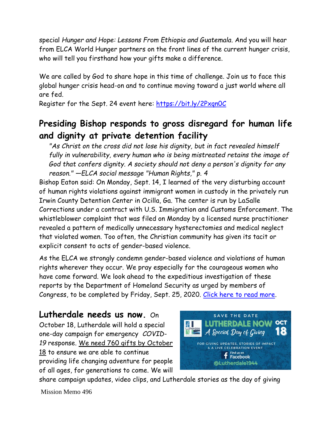special *Hunger and Hope: Lessons From Ethiopia and Guatemala*. And you will hear from ELCA World Hunger partners on the front lines of the current hunger crisis, who will tell you firsthand how your gifts make a difference.

We are called by God to share hope in this time of challenge. Join us to face this global hunger crisis head-on and to continue moving toward a just world where all are fed.

Register for the Sept. 24 event here: [https://bit.ly/2Pxqn0C](https://bit.ly/2Pxqn0C?fbclid=IwAR2r9hsv1YEtLg6tK6J5zgk9ot8Q79RApgWHR-Jz6f9BYkTfDVWvQwS5eGY)

## **Presiding Bishop responds to gross disregard for human life and dignity at private detention facility**

*"As Christ on the cross did not lose his dignity, but in fact revealed himself fully in vulnerability, every human who is being mistreated retains the image of God that confers dignity. A society should not deny a person's dignity for any reason." —ELCA social message "Human Rights," p. 4*

Bishop Eaton said: On Monday, Sept. 14, I learned of the very disturbing account of human rights violations against immigrant women in custody in the privately run Irwin County Detention Center in Ocilla, Ga. The center is run by LaSalle Corrections under a contract with U.S. Immigration and Customs Enforcement. The whistleblower complaint that was filed on Monday by a licensed nurse practitioner revealed a pattern of medically unnecessary hysterectomies and medical neglect that violated women. Too often, the Christian community has given its tacit or explicit consent to acts of gender-based violence.

As the ELCA we strongly condemn gender-based violence and violations of human rights wherever they occur. We pray especially for the courageous women who have come forward. We look ahead to the expeditious investigation of these reports by the Department of Homeland Security as urged by members of Congress, to be completed by Friday, Sept. 25, 2020. [Click here to read more.](https://www.elca.org/News-and-Events/8064)

#### **Lutherdale needs us now.** On

October 18, Lutherdale will hold a special one-day campaign for emergency *COVID-19* response. We need 760 gifts by October 18 to ensure we are able to continue providing life changing adventure for people of all ages, for generations to come. We will



share campaign updates, video clips, and Lutherdale stories as the day of giving

Mission Memo 496